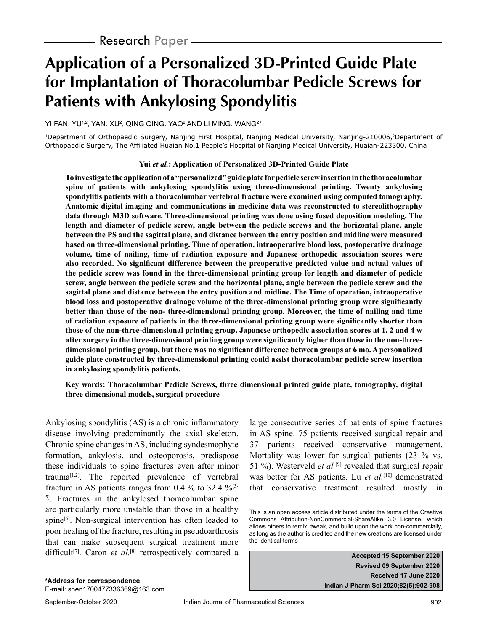# **Application of a Personalized 3D-Printed Guide Plate for Implantation of Thoracolumbar Pedicle Screws for Patients with Ankylosing Spondylitis**

YI FAN. YU1,2, YAN. XU2, QING QING. YAO2 AND LI MING. WANG2\*

1Department of Orthopaedic Surgery, Nanjing First Hospital, Nanjing Medical University, Nanjing-210006,2Department of Orthopaedic Surgery, The Affiliated Huaian No.1 People's Hospital of Nanjing Medical University, Huaian-223300, China

#### **Yui** *et al.***: Application of Personalized 3D-Printed Guide Plate**

**To investigate the application of a "personalized" guide plate for pedicle screw insertion in the thoracolumbar spine of patients with ankylosing spondylitis using three-dimensional printing. Twenty ankylosing spondylitis patients with a thoracolumbar vertebral fracture were examined using computed tomography. Anatomic digital imaging and communications in medicine data was reconstructed to stereolithography data through M3D software. Three-dimensional printing was done using fused deposition modeling. The length and diameter of pedicle screw, angle between the pedicle screws and the horizontal plane, angle between the PS and the sagittal plane, and distance between the entry position and midline were measured based on three-dimensional printing. Time of operation, intraoperative blood loss, postoperative drainage volume, time of nailing, time of radiation exposure and Japanese orthopedic association scores were also recorded. No significant difference between the preoperative predicted value and actual values of the pedicle screw was found in the three-dimensional printing group for length and diameter of pedicle screw, angle between the pedicle screw and the horizontal plane, angle between the pedicle screw and the sagittal plane and distance between the entry position and midline. The Time of operation, intraoperative blood loss and postoperative drainage volume of the three-dimensional printing group were significantly better than those of the non- three-dimensional printing group. Moreover, the time of nailing and time of radiation exposure of patients in the three-dimensional printing group were significantly shorter than those of the non-three-dimensional printing group. Japanese orthopedic association scores at 1, 2 and 4 w after surgery in the three-dimensional printing group were significantly higher than those in the non-threedimensional printing group, but there was no significant difference between groups at 6 mo. A personalized guide plate constructed by three-dimensional printing could assist thoracolumbar pedicle screw insertion in ankylosing spondylitis patients.**

#### **Key words: Thoracolumbar Pedicle Screws, three dimensional printed guide plate, tomography, digital three dimensional models, surgical procedure**

Ankylosing spondylitis (AS) is a chronic inflammatory disease involving predominantly the axial skeleton. Chronic spine changes in AS, including syndesmophyte formation, ankylosis, and osteoporosis, predispose these individuals to spine fractures even after minor trauma<sup>[1,2]</sup>. The reported prevalence of vertebral fracture in AS patients ranges from 0.4  $\%$  to 32.4  $\%$ <sup>[3-</sup> <sup>5]</sup>. Fractures in the ankylosed thoracolumbar spine are particularly more unstable than those in a healthy spine $[6]$ . Non-surgical intervention has often leaded to poor healing of the fracture, resulting in pseudoarthrosis that can make subsequent surgical treatment more difficult<sup>[7]</sup>. Caron *et al.*<sup>[8]</sup> retrospectively compared a

large consecutive series of patients of spine fractures in AS spine. 75 patients received surgical repair and 37 patients received conservative management. Mortality was lower for surgical patients (23 % vs. 51 %). Westerveld *et al.*[9] revealed that surgical repair was better for AS patients. Lu *et al.*<sup>[10]</sup> demonstrated that conservative treatment resulted mostly in

**Accepted 15 September 2020 Revised 09 September 2020 Received 17 June 2020 Indian J Pharm Sci 2020;82(5):902-908**

This is an open access article distributed under the terms of the Creative Commons Attribution-NonCommercial-ShareAlike 3.0 License, which allows others to remix, tweak, and build upon the work non-commercially, as long as the author is credited and the new creations are licensed under the identical terms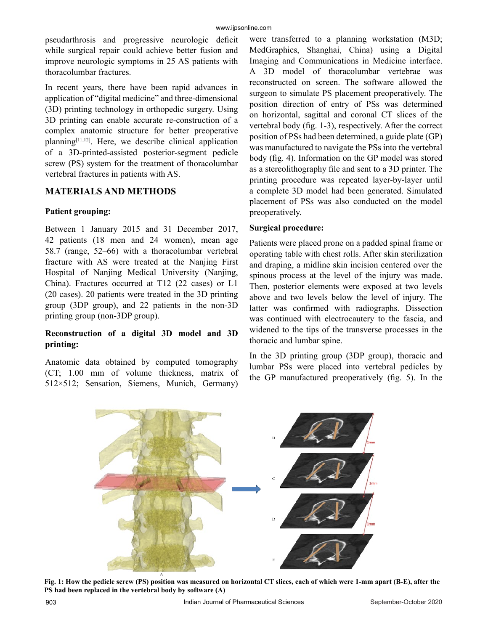pseudarthrosis and progressive neurologic deficit while surgical repair could achieve better fusion and improve neurologic symptoms in 25 AS patients with thoracolumbar fractures.

In recent years, there have been rapid advances in application of "digital medicine" and three-dimensional (3D) printing technology in orthopedic surgery. Using 3D printing can enable accurate re-construction of a complex anatomic structure for better preoperative  $planning<sup>[11,12]</sup>$ . Here, we describe clinical application of a 3D-printed-assisted posterior-segment pedicle screw (PS) system for the treatment of thoracolumbar vertebral fractures in patients with AS.

# **MATERIALS AND METHODS**

# **Patient grouping:**

Between 1 January 2015 and 31 December 2017, 42 patients (18 men and 24 women), mean age 58.7 (range, 52–66) with a thoracolumbar vertebral fracture with AS were treated at the Nanjing First Hospital of Nanjing Medical University (Nanjing, China). Fractures occurred at T12 (22 cases) or L1 (20 cases). 20 patients were treated in the 3D printing group (3DP group), and 22 patients in the non-3D printing group (non-3DP group).

# **Reconstruction of a digital 3D model and 3D printing:**

Anatomic data obtained by computed tomography (CT; 1.00 mm of volume thickness, matrix of 512×512; Sensation, Siemens, Munich, Germany)

were transferred to a planning workstation (M3D; MedGraphics, Shanghai, China) using a Digital Imaging and Communications in Medicine interface. A 3D model of thoracolumbar vertebrae was reconstructed on screen. The software allowed the surgeon to simulate PS placement preoperatively. The position direction of entry of PSs was determined on horizontal, sagittal and coronal CT slices of the vertebral body (fig. 1-3), respectively. After the correct position of PSs had been determined, a guide plate (GP) was manufactured to navigate the PSs into the vertebral body (fig. 4). Information on the GP model was stored as a stereolithography file and sent to a 3D printer. The printing procedure was repeated layer-by-layer until a complete 3D model had been generated. Simulated placement of PSs was also conducted on the model preoperatively.

# **Surgical procedure:**

Patients were placed prone on a padded spinal frame or operating table with chest rolls. After skin sterilization and draping, a midline skin incision centered over the spinous process at the level of the injury was made. Then, posterior elements were exposed at two levels above and two levels below the level of injury. The latter was confirmed with radiographs. Dissection was continued with electrocautery to the fascia, and widened to the tips of the transverse processes in the thoracic and lumbar spine.

In the 3D printing group (3DP group), thoracic and lumbar PSs were placed into vertebral pedicles by the GP manufactured preoperatively (fig. 5). In the



**Fig. 1: How the pedicle screw (PS) position was measured on horizontal CT slices, each of which were 1-mm apart (B-E), after the PS had been replaced in the vertebral body by software (A)**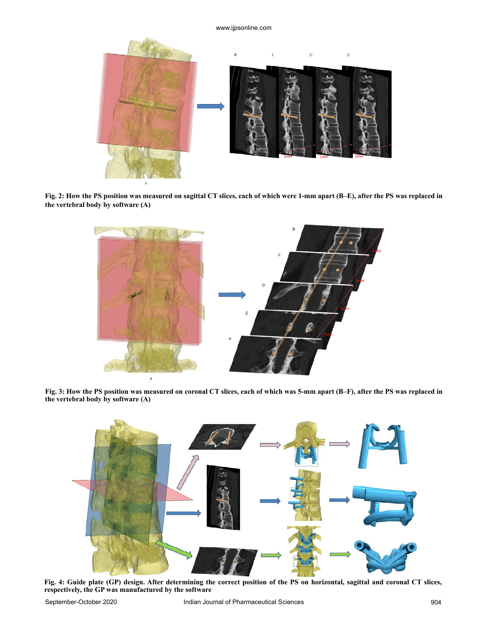

**Fig. 2: How the PS position was measured on sagittal CT slices, each of which were 1-mm apart (B–E), after the PS was replaced in the vertebral body by software (A)**



**Fig. 3: How the PS position was measured on coronal CT slices, each of which was 5-mm apart (B–F), after the PS was replaced in the vertebral body by software (A)**



**Fig. 4: Guide plate (GP) design. After determining the correct position of the PS on horizontal, sagittal and coronal CT slices, respectively, the GP was manufactured by the software**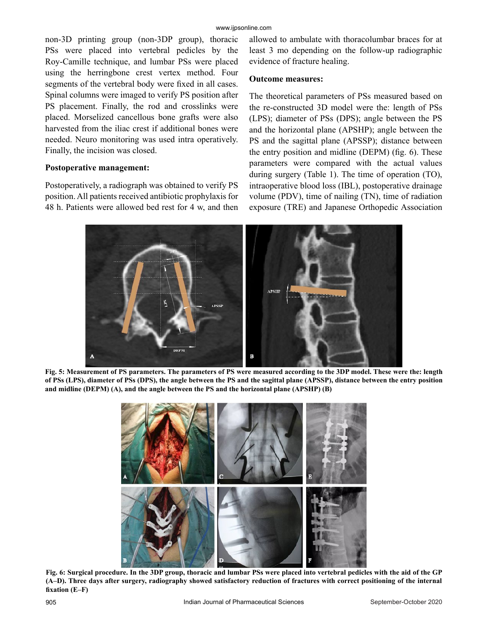non-3D printing group (non-3DP group), thoracic PSs were placed into vertebral pedicles by the Roy-Camille technique, and lumbar PSs were placed using the herringbone crest vertex method. Four segments of the vertebral body were fixed in all cases. Spinal columns were imaged to verify PS position after PS placement. Finally, the rod and crosslinks were placed. Morselized cancellous bone grafts were also harvested from the iliac crest if additional bones were needed. Neuro monitoring was used intra operatively. Finally, the incision was closed.

#### **Postoperative management:**

Postoperatively, a radiograph was obtained to verify PS position. All patients received antibiotic prophylaxis for 48 h. Patients were allowed bed rest for 4 w, and then allowed to ambulate with thoracolumbar braces for at least 3 mo depending on the follow-up radiographic evidence of fracture healing.

#### **Outcome measures:**

The theoretical parameters of PSs measured based on the re-constructed 3D model were the: length of PSs (LPS); diameter of PSs (DPS); angle between the PS and the horizontal plane (APSHP); angle between the PS and the sagittal plane (APSSP); distance between the entry position and midline (DEPM) (fig. 6). These parameters were compared with the actual values during surgery (Table 1). The time of operation (TO), intraoperative blood loss (IBL), postoperative drainage volume (PDV), time of nailing (TN), time of radiation exposure (TRE) and Japanese Orthopedic Association



**Fig. 5: Measurement of PS parameters. The parameters of PS were measured according to the 3DP model. These were the: length of PSs (LPS), diameter of PSs (DPS), the angle between the PS and the sagittal plane (APSSP), distance between the entry position and midline (DEPM) (A), and the angle between the PS and the horizontal plane (APSHP) (B)**



**Fig. 6: Surgical procedure. In the 3DP group, thoracic and lumbar PSs were placed into vertebral pedicles with the aid of the GP (A–D). Three days after surgery, radiography showed satisfactory reduction of fractures with correct positioning of the internal fixation (E–F)**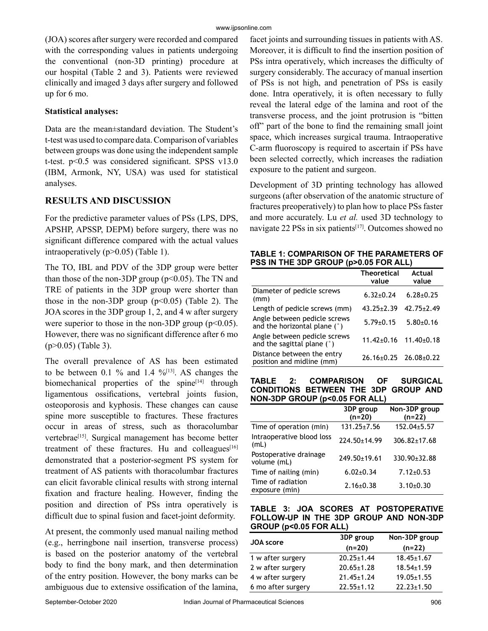(JOA) scores after surgery were recorded and compared with the corresponding values in patients undergoing the conventional (non-3D printing) procedure at our hospital (Table 2 and 3). Patients were reviewed clinically and imaged 3 days after surgery and followed up for 6 mo.

### **Statistical analyses:**

Data are the mean±standard deviation. The Student's t-test was used to compare data. Comparison of variables between groups was done using the independent sample t-test. p<0.5 was considered significant. SPSS v13.0 (IBM, Armonk, NY, USA) was used for statistical analyses.

# **RESULTS AND DISCUSSION**

For the predictive parameter values of PSs (LPS, DPS, APSHP, APSSP, DEPM) before surgery, there was no significant difference compared with the actual values intraoperatively (p>0.05) (Table 1).

The TO, IBL and PDV of the 3DP group were better than those of the non-3DP group ( $p<0.05$ ). The TN and TRE of patients in the 3DP group were shorter than those in the non-3DP group  $(p<0.05)$  (Table 2). The JOA scores in the 3DP group 1, 2, and 4 w after surgery were superior to those in the non-3DP group  $(p<0.05)$ . However, there was no significant difference after 6 mo (p>0.05) (Table 3).

The overall prevalence of AS has been estimated to be between 0.1 % and 1.4 % $^{[13]}$ . AS changes the biomechanical properties of the spine<sup>[14]</sup> through ligamentous ossifications, vertebral joints fusion, osteoporosis and kyphosis. These changes can cause spine more susceptible to fractures. These fractures occur in areas of stress, such as thoracolumbar vertebrae<sup>[15]</sup>. Surgical management has become better treatment of these fractures. Hu and colleagues $[16]$ demonstrated that a posterior-segment PS system for treatment of AS patients with thoracolumbar fractures can elicit favorable clinical results with strong internal fixation and fracture healing. However, finding the position and direction of PSs intra operatively is difficult due to spinal fusion and facet-joint deformity.

At present, the commonly used manual nailing method (e.g., herringbone nail insertion, transverse process) is based on the posterior anatomy of the vertebral body to find the bony mark, and then determination of the entry position. However, the bony marks can be ambiguous due to extensive ossification of the lamina,

facet joints and surrounding tissues in patients with AS. Moreover, it is difficult to find the insertion position of PSs intra operatively, which increases the difficulty of surgery considerably. The accuracy of manual insertion of PSs is not high, and penetration of PSs is easily done. Intra operatively, it is often necessary to fully reveal the lateral edge of the lamina and root of the transverse process, and the joint protrusion is "bitten off" part of the bone to find the remaining small joint space, which increases surgical trauma. Intraoperative C-arm fluoroscopy is required to ascertain if PSs have been selected correctly, which increases the radiation exposure to the patient and surgeon.

Development of 3D printing technology has allowed surgeons (after observation of the anatomic structure of fractures preoperatively) to plan how to place PSs faster and more accurately. Lu *et al.* used 3D technology to navigate 22 PSs in six patients<sup>[17]</sup>. Outcomes showed no

**TABLE 1: COMPARISON OF THE PARAMETERS OF PSS IN THE 3DP GROUP (p>0.05 FOR ALL)**

|                                                              | <b>Theoretical</b><br>value       | Actual<br>value  |
|--------------------------------------------------------------|-----------------------------------|------------------|
| Diameter of pedicle screws<br>(mm)                           | $6.32 \pm 0.24$                   | $6.28 \pm 0.25$  |
| Length of pedicle screws (mm)                                | $43.25 \pm 2.39$                  | $42.75 \pm 2.49$ |
| Angle between pedicle screws<br>and the horizontal plane (°) | $5.79 \pm 0.15$                   | $5.80{\pm}0.16$  |
| Angle between pedicle screws<br>and the sagittal plane $(°)$ | $11.42 \pm 0.16$ $11.40 \pm 0.18$ |                  |
| Distance between the entry<br>position and midline (mm)      | $26.16 \pm 0.25$ $26.08 \pm 0.22$ |                  |

**TABLE 2: COMPARISON OF SURGICAL CONDITIONS BETWEEN THE 3DP GROUP AND NON-3DP GROUP (p<0.05 FOR ALL)**

|                                       | 3DP group<br>$(n=20)$ | Non-3DP group<br>$(n=22)$ |
|---------------------------------------|-----------------------|---------------------------|
| Time of operation (min)               | $131.25 \pm 7.56$     | 152.04±5.57               |
| Intraoperative blood loss<br>(mL)     | $224.50 \pm 14.99$    | $306.82 \pm 17.68$        |
| Postoperative drainage<br>volume (mL) | 249.50±19.61          | 330.90±32.88              |
| Time of nailing (min)                 | $6.02 \pm 0.34$       | $7.12 \pm 0.53$           |
| Time of radiation<br>exposure (min)   | $2.16 \pm 0.38$       | $3.10{\pm}0.30$           |

#### **TABLE 3: JOA SCORES AT POSTOPERATIVE FOLLOW-UP IN THE 3DP GROUP AND NON-3DP GROUP (p<0.05 FOR ALL)**

| JOA score          | 3DP group        | Non-3DP group    |
|--------------------|------------------|------------------|
|                    | $(n=20)$         | $(n=22)$         |
| 1 w after surgery  | $20.25 \pm 1.44$ | $18.45 \pm 1.67$ |
| 2 w after surgery  | $20.65 \pm 1.28$ | $18.54 \pm 1.59$ |
| 4 w after surgery  | $21.45 \pm 1.24$ | $19.05 \pm 1.55$ |
| 6 mo after surgery | $22.55 \pm 1.12$ | $22.23 \pm 1.50$ |
|                    |                  |                  |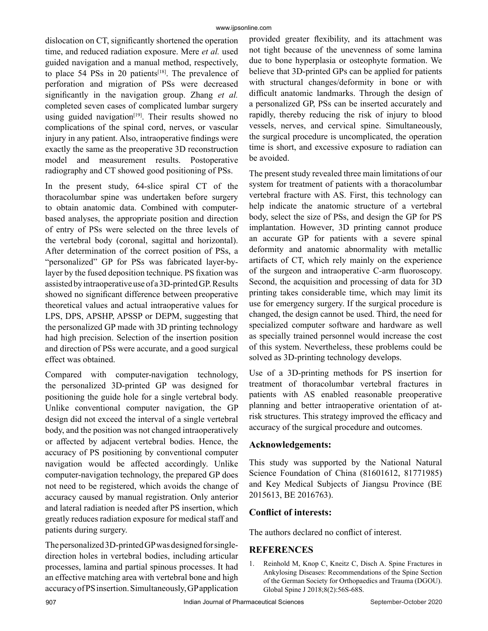dislocation on CT, significantly shortened the operation time, and reduced radiation exposure. Mere *et al.* used guided navigation and a manual method, respectively, to place 54 PSs in 20 patients<sup>[18]</sup>. The prevalence of perforation and migration of PSs were decreased significantly in the navigation group. Zhang *et al.* completed seven cases of complicated lumbar surgery using guided navigation<sup>[19]</sup>. Their results showed no complications of the spinal cord, nerves, or vascular injury in any patient. Also, intraoperative findings were exactly the same as the preoperative 3D reconstruction model and measurement results. Postoperative radiography and CT showed good positioning of PSs.

In the present study, 64-slice spiral CT of the thoracolumbar spine was undertaken before surgery to obtain anatomic data. Combined with computerbased analyses, the appropriate position and direction of entry of PSs were selected on the three levels of the vertebral body (coronal, sagittal and horizontal). After determination of the correct position of PSs, a "personalized" GP for PSs was fabricated layer-bylayer by the fused deposition technique. PS fixation was assisted by intraoperative use of a 3D-printed GP. Results showed no significant difference between preoperative theoretical values and actual intraoperative values for LPS, DPS, APSHP, APSSP or DEPM, suggesting that the personalized GP made with 3D printing technology had high precision. Selection of the insertion position and direction of PSs were accurate, and a good surgical effect was obtained.

Compared with computer-navigation technology, the personalized 3D-printed GP was designed for positioning the guide hole for a single vertebral body. Unlike conventional computer navigation, the GP design did not exceed the interval of a single vertebral body, and the position was not changed intraoperatively or affected by adjacent vertebral bodies. Hence, the accuracy of PS positioning by conventional computer navigation would be affected accordingly. Unlike computer-navigation technology, the prepared GP does not need to be registered, which avoids the change of accuracy caused by manual registration. Only anterior and lateral radiation is needed after PS insertion, which greatly reduces radiation exposure for medical staff and patients during surgery.

The personalized 3D-printed GP was designed for singledirection holes in vertebral bodies, including articular processes, lamina and partial spinous processes. It had an effective matching area with vertebral bone and high accuracy of PS insertion. Simultaneously, GP application provided greater flexibility, and its attachment was not tight because of the unevenness of some lamina due to bone hyperplasia or osteophyte formation. We believe that 3D-printed GPs can be applied for patients with structural changes/deformity in bone or with difficult anatomic landmarks. Through the design of a personalized GP, PSs can be inserted accurately and rapidly, thereby reducing the risk of injury to blood vessels, nerves, and cervical spine. Simultaneously, the surgical procedure is uncomplicated, the operation time is short, and excessive exposure to radiation can be avoided.

The present study revealed three main limitations of our system for treatment of patients with a thoracolumbar vertebral fracture with AS. First, this technology can help indicate the anatomic structure of a vertebral body, select the size of PSs, and design the GP for PS implantation. However, 3D printing cannot produce an accurate GP for patients with a severe spinal deformity and anatomic abnormality with metallic artifacts of CT, which rely mainly on the experience of the surgeon and intraoperative C-arm fluoroscopy. Second, the acquisition and processing of data for 3D printing takes considerable time, which may limit its use for emergency surgery. If the surgical procedure is changed, the design cannot be used. Third, the need for specialized computer software and hardware as well as specially trained personnel would increase the cost of this system. Nevertheless, these problems could be solved as 3D-printing technology develops.

Use of a 3D-printing methods for PS insertion for treatment of thoracolumbar vertebral fractures in patients with AS enabled reasonable preoperative planning and better intraoperative orientation of atrisk structures. This strategy improved the efficacy and accuracy of the surgical procedure and outcomes.

# **Acknowledgements:**

This study was supported by the National Natural Science Foundation of China (81601612, 81771985) and Key Medical Subjects of Jiangsu Province (BE 2015613, BE 2016763).

# **Conflict of interests:**

The authors declared no conflict of interest.

# **REFERENCES**

1. Reinhold M, Knop C, Kneitz C, Disch A. Spine Fractures in Ankylosing Diseases: Recommendations of the Spine Section of the German Society for Orthopaedics and Trauma (DGOU). Global Spine J 2018;8(2):56S-68S.